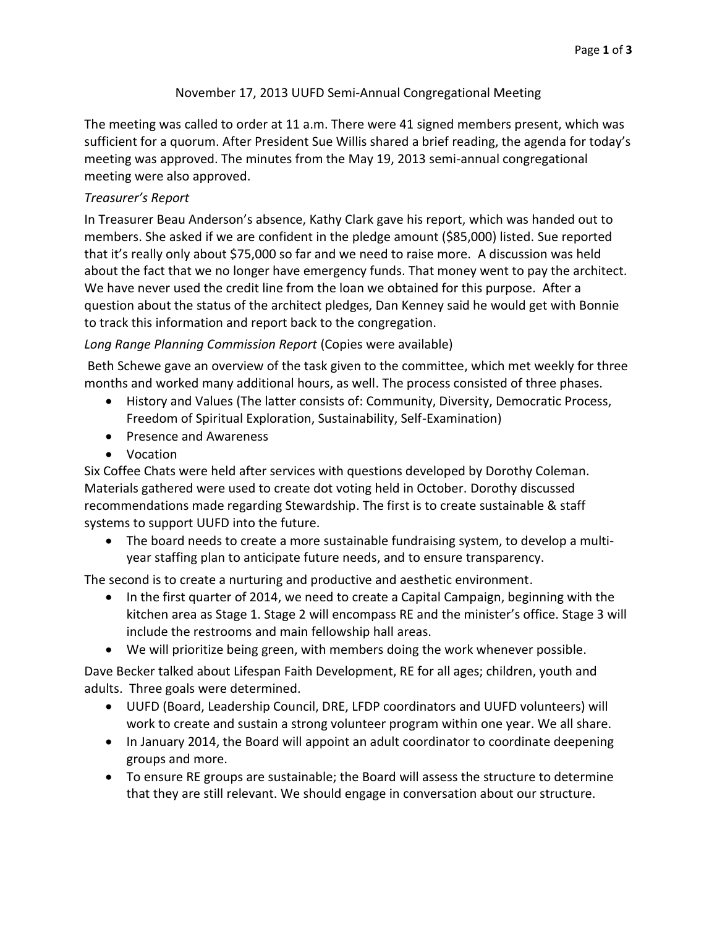## November 17, 2013 UUFD Semi-Annual Congregational Meeting

The meeting was called to order at 11 a.m. There were 41 signed members present, which was sufficient for a quorum. After President Sue Willis shared a brief reading, the agenda for today's meeting was approved. The minutes from the May 19, 2013 semi-annual congregational meeting were also approved.

## *Treasurer's Report*

In Treasurer Beau Anderson's absence, Kathy Clark gave his report, which was handed out to members. She asked if we are confident in the pledge amount (\$85,000) listed. Sue reported that it's really only about \$75,000 so far and we need to raise more. A discussion was held about the fact that we no longer have emergency funds. That money went to pay the architect. We have never used the credit line from the loan we obtained for this purpose. After a question about the status of the architect pledges, Dan Kenney said he would get with Bonnie to track this information and report back to the congregation.

## *Long Range Planning Commission Report* (Copies were available)

Beth Schewe gave an overview of the task given to the committee, which met weekly for three months and worked many additional hours, as well. The process consisted of three phases.

- History and Values (The latter consists of: Community, Diversity, Democratic Process, Freedom of Spiritual Exploration, Sustainability, Self-Examination)
- Presence and Awareness
- Vocation

Six Coffee Chats were held after services with questions developed by Dorothy Coleman. Materials gathered were used to create dot voting held in October. Dorothy discussed recommendations made regarding Stewardship. The first is to create sustainable & staff systems to support UUFD into the future.

 The board needs to create a more sustainable fundraising system, to develop a multiyear staffing plan to anticipate future needs, and to ensure transparency.

The second is to create a nurturing and productive and aesthetic environment.

- In the first quarter of 2014, we need to create a Capital Campaign, beginning with the kitchen area as Stage 1. Stage 2 will encompass RE and the minister's office. Stage 3 will include the restrooms and main fellowship hall areas.
- We will prioritize being green, with members doing the work whenever possible.

Dave Becker talked about Lifespan Faith Development, RE for all ages; children, youth and adults. Three goals were determined.

- UUFD (Board, Leadership Council, DRE, LFDP coordinators and UUFD volunteers) will work to create and sustain a strong volunteer program within one year. We all share.
- In January 2014, the Board will appoint an adult coordinator to coordinate deepening groups and more.
- To ensure RE groups are sustainable; the Board will assess the structure to determine that they are still relevant. We should engage in conversation about our structure.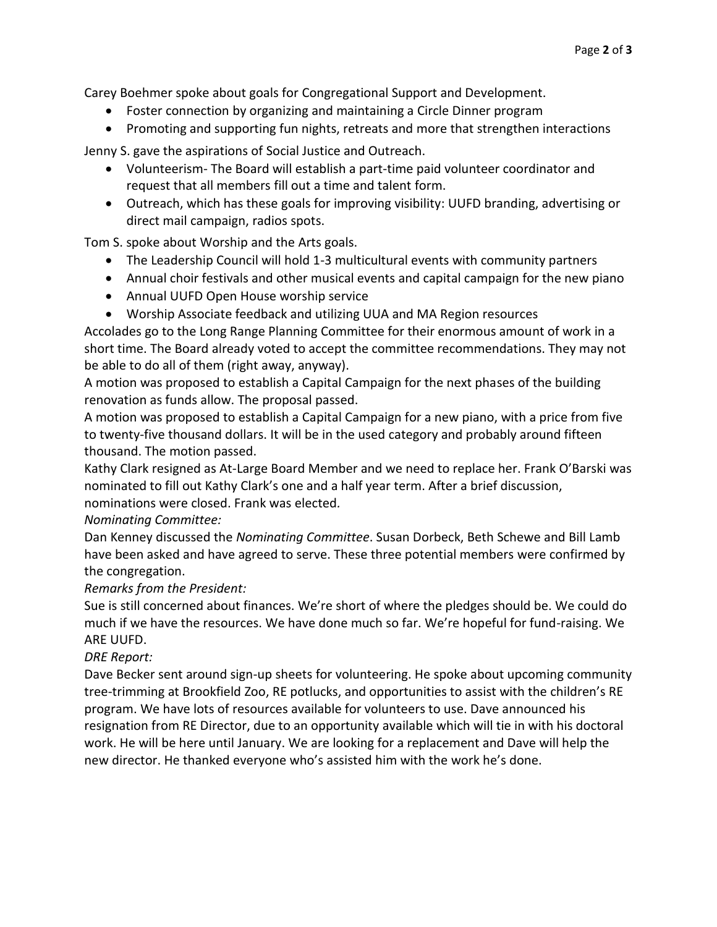Carey Boehmer spoke about goals for Congregational Support and Development.

- Foster connection by organizing and maintaining a Circle Dinner program
- Promoting and supporting fun nights, retreats and more that strengthen interactions

Jenny S. gave the aspirations of Social Justice and Outreach.

- Volunteerism- The Board will establish a part-time paid volunteer coordinator and request that all members fill out a time and talent form.
- Outreach, which has these goals for improving visibility: UUFD branding, advertising or direct mail campaign, radios spots.

Tom S. spoke about Worship and the Arts goals.

- The Leadership Council will hold 1-3 multicultural events with community partners
- Annual choir festivals and other musical events and capital campaign for the new piano
- Annual UUFD Open House worship service
- Worship Associate feedback and utilizing UUA and MA Region resources

Accolades go to the Long Range Planning Committee for their enormous amount of work in a short time. The Board already voted to accept the committee recommendations. They may not be able to do all of them (right away, anyway).

A motion was proposed to establish a Capital Campaign for the next phases of the building renovation as funds allow. The proposal passed.

A motion was proposed to establish a Capital Campaign for a new piano, with a price from five to twenty-five thousand dollars. It will be in the used category and probably around fifteen thousand. The motion passed.

Kathy Clark resigned as At-Large Board Member and we need to replace her. Frank O'Barski was nominated to fill out Kathy Clark's one and a half year term. After a brief discussion, nominations were closed. Frank was elected*.*

*Nominating Committee:*

Dan Kenney discussed the *Nominating Committee*. Susan Dorbeck, Beth Schewe and Bill Lamb have been asked and have agreed to serve. These three potential members were confirmed by the congregation.

*Remarks from the President:*

Sue is still concerned about finances. We're short of where the pledges should be. We could do much if we have the resources. We have done much so far. We're hopeful for fund-raising. We ARE UUFD.

# *DRE Report:*

Dave Becker sent around sign-up sheets for volunteering. He spoke about upcoming community tree-trimming at Brookfield Zoo, RE potlucks, and opportunities to assist with the children's RE program. We have lots of resources available for volunteers to use. Dave announced his resignation from RE Director, due to an opportunity available which will tie in with his doctoral work. He will be here until January. We are looking for a replacement and Dave will help the new director. He thanked everyone who's assisted him with the work he's done.